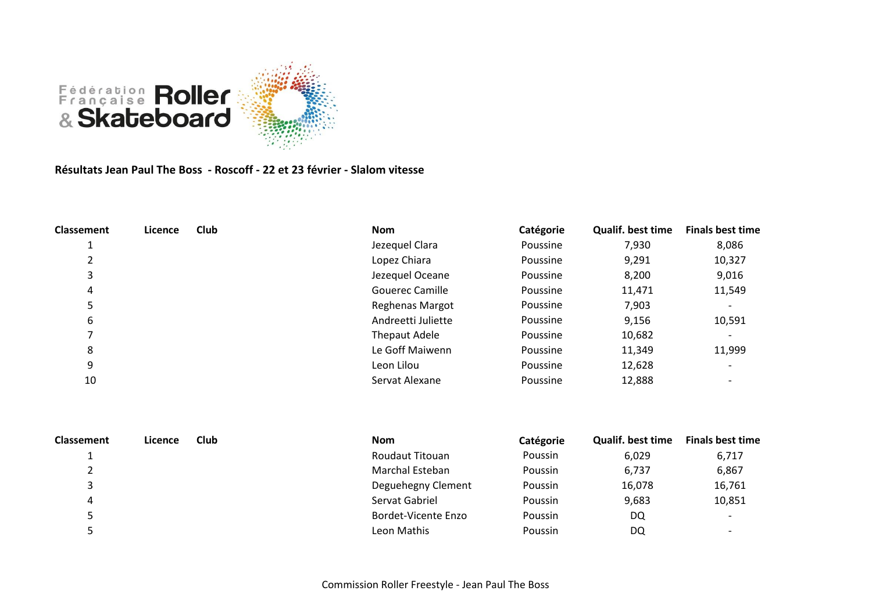

**Résultats Jean Paul The Boss - Roscoff - 22 et 23 février - Slalom vitesse**

| <b>Classement</b> | Licence | Club | <b>Nom</b>             | Catégorie | <b>Qualif. best time</b> | <b>Finals best time</b>  |
|-------------------|---------|------|------------------------|-----------|--------------------------|--------------------------|
|                   |         |      | Jezequel Clara         | Poussine  | 7,930                    | 8,086                    |
|                   |         |      | Lopez Chiara           | Poussine  | 9,291                    | 10,327                   |
| 3                 |         |      | Jezequel Oceane        | Poussine  | 8,200                    | 9,016                    |
| 4                 |         |      | <b>Gouerec Camille</b> | Poussine  | 11,471                   | 11,549                   |
| ⊃                 |         |      | Reghenas Margot        | Poussine  | 7,903                    | $\overline{\phantom{a}}$ |
| 6                 |         |      | Andreetti Juliette     | Poussine  | 9,156                    | 10,591                   |
|                   |         |      | Thepaut Adele          | Poussine  | 10,682                   | $\overline{\phantom{a}}$ |
| 8                 |         |      | Le Goff Maiwenn        | Poussine  | 11,349                   | 11,999                   |
| 9                 |         |      | Leon Lilou             | Poussine  | 12,628                   | $\overline{\phantom{0}}$ |
| 10                |         |      | Servat Alexane         | Poussine  | 12,888                   |                          |

| <b>Classement</b> | Licence | <b>Club</b> | <b>Nom</b>             | Catégorie | <b>Qualif. best time</b> | <b>Finals best time</b>  |
|-------------------|---------|-------------|------------------------|-----------|--------------------------|--------------------------|
|                   |         |             | <b>Roudaut Titouan</b> | Poussin   | 6,029                    | 6,717                    |
|                   |         |             | Marchal Esteban        | Poussin   | 6,737                    | 6,867                    |
|                   |         |             | Deguehegny Clement     | Poussin   | 16,078                   | 16,761                   |
| 4                 |         |             | Servat Gabriel         | Poussin   | 9,683                    | 10,851                   |
|                   |         |             | Bordet-Vicente Enzo    | Poussin   | DQ                       | $\overline{\phantom{0}}$ |
|                   |         |             | Leon Mathis            | Poussin   | DQ                       | $\overline{\phantom{0}}$ |
|                   |         |             |                        |           |                          |                          |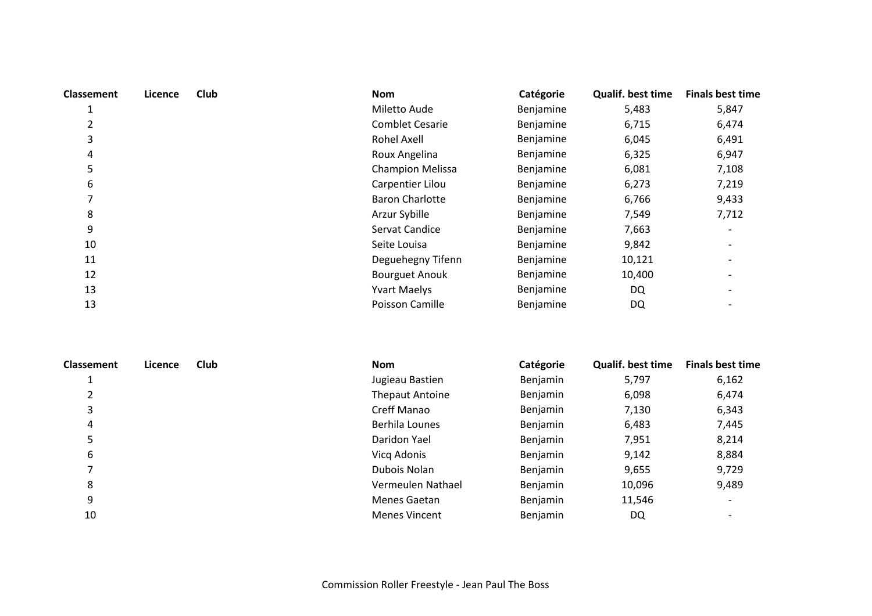| <b>Classement</b> | Licence | Club | <b>Nom</b>              | Catégorie | Qualif. best time | <b>Finals best time</b> |
|-------------------|---------|------|-------------------------|-----------|-------------------|-------------------------|
| 1                 |         |      | Miletto Aude            | Benjamine | 5,483             | 5,847                   |
| 2                 |         |      | <b>Comblet Cesarie</b>  | Benjamine | 6,715             | 6,474                   |
| 3                 |         |      | <b>Rohel Axell</b>      | Benjamine | 6,045             | 6,491                   |
| 4                 |         |      | Roux Angelina           | Benjamine | 6,325             | 6,947                   |
| 5                 |         |      | <b>Champion Melissa</b> | Benjamine | 6,081             | 7,108                   |
| 6                 |         |      | Carpentier Lilou        | Benjamine | 6,273             | 7,219                   |
|                   |         |      | <b>Baron Charlotte</b>  | Benjamine | 6,766             | 9,433                   |
| 8                 |         |      | Arzur Sybille           | Benjamine | 7,549             | 7,712                   |
| 9                 |         |      | Servat Candice          | Benjamine | 7,663             |                         |
| 10                |         |      | Seite Louisa            | Benjamine | 9,842             |                         |
| 11                |         |      | Deguehegny Tifenn       | Benjamine | 10,121            |                         |
| 12                |         |      | <b>Bourguet Anouk</b>   | Benjamine | 10,400            |                         |
| 13                |         |      | <b>Yvart Maelys</b>     | Benjamine | DQ                |                         |
| 13                |         |      | Poisson Camille         | Benjamine | DQ                |                         |

| <b>Classement</b> | Licence | <b>Club</b> | <b>Nom</b>             | Catégorie | <b>Qualif. best time</b> | <b>Finals best time</b> |
|-------------------|---------|-------------|------------------------|-----------|--------------------------|-------------------------|
|                   |         |             | Jugieau Bastien        | Benjamin  | 5,797                    | 6,162                   |
|                   |         |             | <b>Thepaut Antoine</b> | Benjamin  | 6,098                    | 6,474                   |
| 3                 |         |             | Creff Manao            | Benjamin  | 7,130                    | 6,343                   |
| 4                 |         |             | Berhila Lounes         | Benjamin  | 6,483                    | 7,445                   |
| 5                 |         |             | Daridon Yael           | Benjamin  | 7,951                    | 8,214                   |
| 6                 |         |             | Vicq Adonis            | Benjamin  | 9,142                    | 8,884                   |
|                   |         |             | Dubois Nolan           | Benjamin  | 9,655                    | 9,729                   |
| 8                 |         |             | Vermeulen Nathael      | Benjamin  | 10,096                   | 9,489                   |
| 9                 |         |             | Menes Gaetan           | Benjamin  | 11,546                   |                         |
| 10                |         |             | <b>Menes Vincent</b>   | Benjamin  | DQ                       |                         |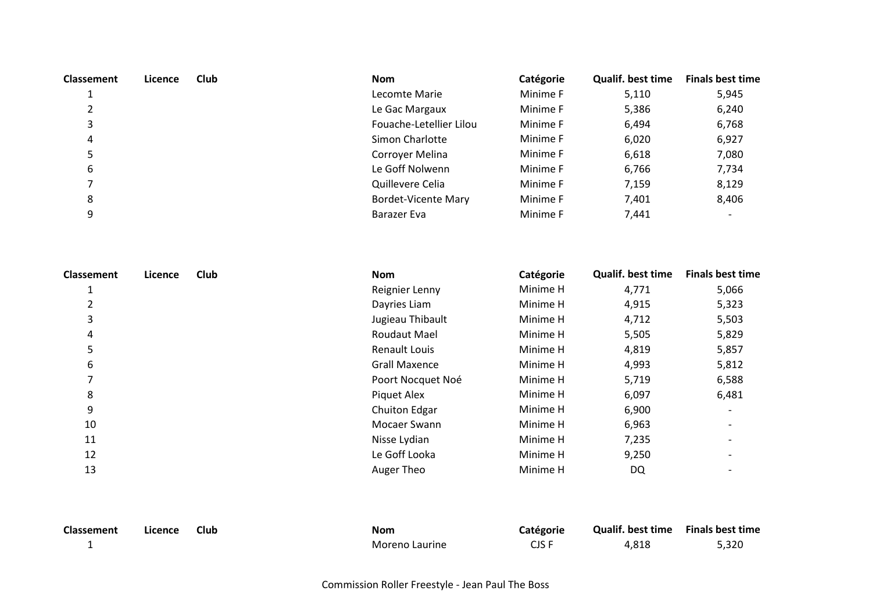| <b>Classement</b> | Licence | Club | <b>Nom</b>                 | Catégorie | <b>Qualif. best time</b> | <b>Finals best time</b> |
|-------------------|---------|------|----------------------------|-----------|--------------------------|-------------------------|
|                   |         |      | Lecomte Marie              | Minime F  | 5,110                    | 5,945                   |
| 2                 |         |      | Le Gac Margaux             | Minime F  | 5,386                    | 6,240                   |
| 3                 |         |      | Fouache-Letellier Lilou    | Minime F  | 6,494                    | 6,768                   |
| 4                 |         |      | Simon Charlotte            | Minime F  | 6,020                    | 6,927                   |
| 5                 |         |      | Corroyer Melina            | Minime F  | 6,618                    | 7,080                   |
| 6                 |         |      | Le Goff Nolwenn            | Minime F  | 6,766                    | 7,734                   |
| 7                 |         |      | Quillevere Celia           | Minime F  | 7,159                    | 8,129                   |
| 8                 |         |      | <b>Bordet-Vicente Mary</b> | Minime F  | 7,401                    | 8,406                   |
| 9                 |         |      | Barazer Eva                | Minime F  | 7,441                    |                         |

| Classement | Licence | <b>Club</b> | <b>Nom</b>           | Catégorie | <b>Qualif. best time</b> | <b>Finals best time</b> |
|------------|---------|-------------|----------------------|-----------|--------------------------|-------------------------|
| J.         |         |             | Reignier Lenny       | Minime H  | 4,771                    | 5,066                   |
| 2          |         |             | Dayries Liam         | Minime H  | 4,915                    | 5,323                   |
| 3          |         |             | Jugieau Thibault     | Minime H  | 4,712                    | 5,503                   |
| 4          |         |             | Roudaut Mael         | Minime H  | 5,505                    | 5,829                   |
| 5          |         |             | Renault Louis        | Minime H  | 4,819                    | 5,857                   |
| 6          |         |             | <b>Grall Maxence</b> | Minime H  | 4,993                    | 5,812                   |
|            |         |             | Poort Nocquet Noé    | Minime H  | 5,719                    | 6,588                   |
| 8          |         |             | Piquet Alex          | Minime H  | 6,097                    | 6,481                   |
| 9          |         |             | Chuiton Edgar        | Minime H  | 6,900                    |                         |
| 10         |         |             | Mocaer Swann         | Minime H  | 6,963                    |                         |
| 11         |         |             | Nisse Lydian         | Minime H  | 7,235                    |                         |
| 12         |         |             | Le Goff Looka        | Minime H  | 9,250                    |                         |
| 13         |         |             | Auger Theo           | Minime H  | DQ                       |                         |

| Classement | Licence | <b>Club</b> | <b>Nom</b>     | <b>Catégorie</b> | Qualif. best time Finals best time |       |
|------------|---------|-------------|----------------|------------------|------------------------------------|-------|
|            |         |             | Moreno Laurine | CJS F            | 4.818                              | 5,320 |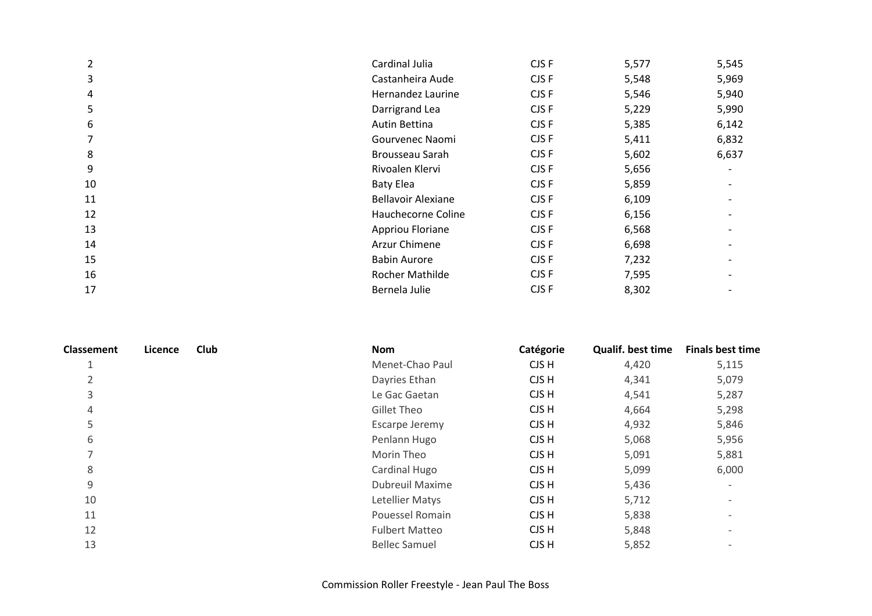| $\overline{2}$ | Cardinal Julia            | CJS F | 5,577 | 5,545 |
|----------------|---------------------------|-------|-------|-------|
| 3              | Castanheira Aude          | CJS F | 5,548 | 5,969 |
| 4              | Hernandez Laurine         | CJS F | 5,546 | 5,940 |
| 5              | Darrigrand Lea            | CJS F | 5,229 | 5,990 |
| 6              | Autin Bettina             | CJS F | 5,385 | 6,142 |
| 7              | Gourvenec Naomi           | CJS F | 5,411 | 6,832 |
| 8              | Brousseau Sarah           | CJS F | 5,602 | 6,637 |
| 9              | Rivoalen Klervi           | CJS F | 5,656 |       |
| 10             | <b>Baty Elea</b>          | CJS F | 5,859 |       |
| 11             | <b>Bellavoir Alexiane</b> | CJS F | 6,109 |       |
| 12             | Hauchecorne Coline        | CJS F | 6,156 |       |
| 13             | Appriou Floriane          | CJS F | 6,568 |       |
| 14             | Arzur Chimene             | CJS F | 6,698 |       |
| 15             | <b>Babin Aurore</b>       | CJS F | 7,232 |       |
| 16             | <b>Rocher Mathilde</b>    | CJS F | 7,595 |       |
| 17             | Bernela Julie             | CJS F | 8,302 |       |

| Classement               | Licence | <b>Club</b> | <b>Nom</b>             | Catégorie | <b>Qualif. best time</b> | <b>Finals best time</b>  |
|--------------------------|---------|-------------|------------------------|-----------|--------------------------|--------------------------|
| $\overline{ }$<br>Ŧ.     |         |             | Menet-Chao Paul        | CJS H     | 4,420                    | 5,115                    |
| 2                        |         |             | Dayries Ethan          | CJS H     | 4,341                    | 5,079                    |
| 3                        |         |             | Le Gac Gaetan          | CJS H     | 4,541                    | 5,287                    |
| 4                        |         |             | Gillet Theo            | CJS H     | 4,664                    | 5,298                    |
| 5                        |         |             | Escarpe Jeremy         | CJS H     | 4,932                    | 5,846                    |
| 6                        |         |             | Penlann Hugo           | CJS H     | 5,068                    | 5,956                    |
| $\overline{\phantom{0}}$ |         |             | Morin Theo             | CJS H     | 5,091                    | 5,881                    |
| 8                        |         |             | Cardinal Hugo          | CJS H     | 5,099                    | 6,000                    |
| 9                        |         |             | <b>Dubreuil Maxime</b> | CJS H     | 5,436                    | $\overline{\phantom{a}}$ |
| 10                       |         |             | Letellier Matys        | CJS H     | 5,712                    | $\overline{\phantom{0}}$ |
| 11                       |         |             | Pouessel Romain        | CJS H     | 5,838                    |                          |
| 12                       |         |             | <b>Fulbert Matteo</b>  | CJS H     | 5,848                    | $\overline{\phantom{a}}$ |
| 13                       |         |             | <b>Bellec Samuel</b>   | CJS H     | 5,852                    |                          |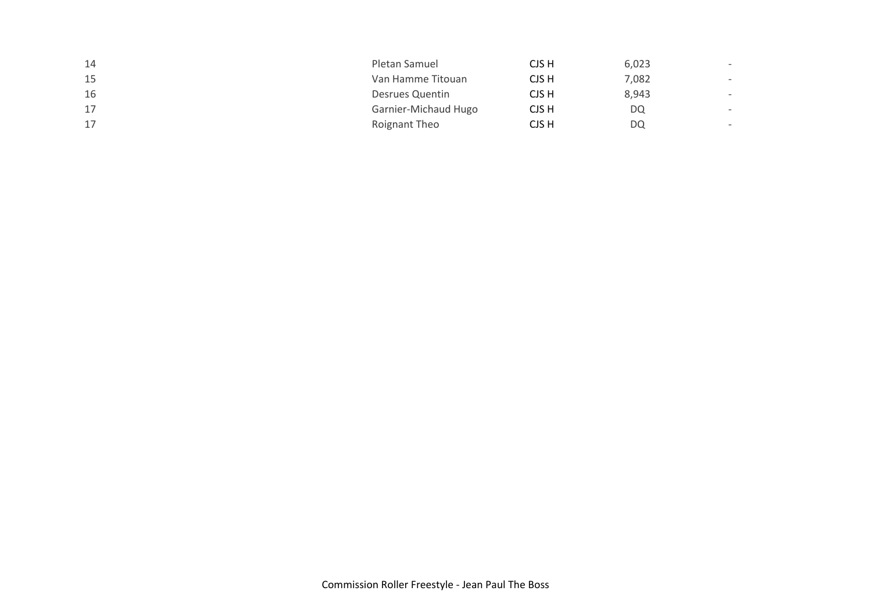| 14 | Pletan Samuel        | CJS H | 6,023 | $\overline{\phantom{a}}$ |
|----|----------------------|-------|-------|--------------------------|
| 15 | Van Hamme Titouan    | CJS H | 7,082 | $\overline{\phantom{0}}$ |
| 16 | Desrues Quentin      | CJS H | 8,943 | $\overline{\phantom{a}}$ |
| 17 | Garnier-Michaud Hugo | CJS H | DQ    |                          |
| 17 | Roignant Theo        | CJS H | DQ    | $\sim$                   |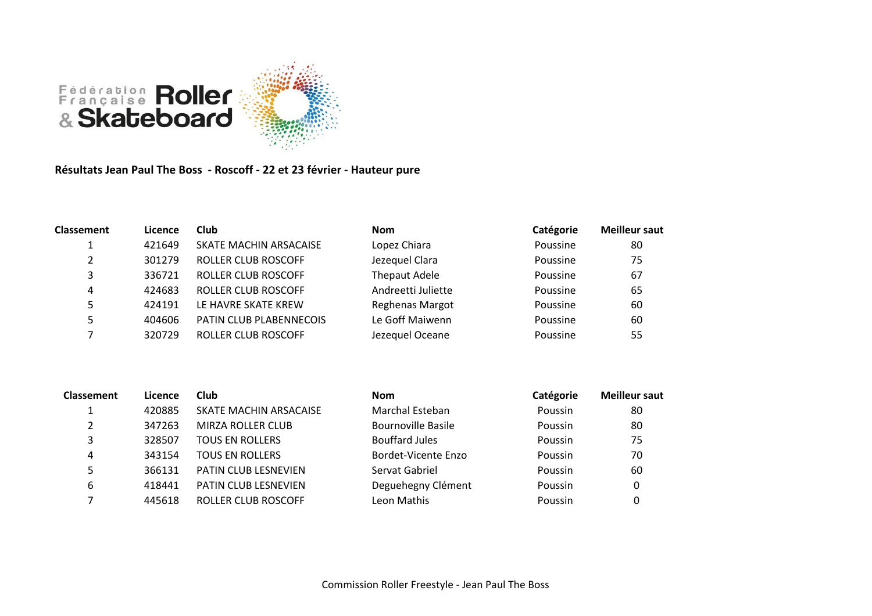

**Résultats Jean Paul The Boss - Roscoff - 22 et 23 février - Hauteur pure**

| <b>Classement</b> | Licence | Club                       | <b>Nom</b>           | Catégorie | <b>Meilleur saut</b> |
|-------------------|---------|----------------------------|----------------------|-----------|----------------------|
|                   | 421649  | SKATE MACHIN ARSACAISE     | Lopez Chiara         | Poussine  | 80                   |
|                   | 301279  | <b>ROLLER CLUB ROSCOFF</b> | Jezequel Clara       | Poussine  | 75                   |
| 3                 | 336721  | ROLLER CLUB ROSCOFF        | <b>Thepaut Adele</b> | Poussine  | 67                   |
| 4                 | 424683  | ROLLER CLUB ROSCOFF        | Andreetti Juliette   | Poussine  | 65                   |
| 5                 | 424191  | LE HAVRE SKATE KREW        | Reghenas Margot      | Poussine  | 60                   |
| 5                 | 404606  | PATIN CLUB PLABENNECOIS    | Le Goff Maiwenn      | Poussine  | 60                   |
|                   | 320729  | <b>ROLLER CLUB ROSCOFF</b> | Jezequel Oceane      | Poussine  | 55                   |

| <b>Classement</b> | Licence | Club                        | <b>Nom</b>                | Catégorie | <b>Meilleur saut</b> |
|-------------------|---------|-----------------------------|---------------------------|-----------|----------------------|
|                   | 420885  | SKATE MACHIN ARSACAISE      | Marchal Esteban           | Poussin   | 80                   |
| າ                 | 347263  | <b>MIRZA ROLLER CLUB</b>    | <b>Bournoville Basile</b> | Poussin   | 80                   |
| 3                 | 328507  | <b>TOUS EN ROLLERS</b>      | <b>Bouffard Jules</b>     | Poussin   | 75                   |
| 4                 | 343154  | <b>TOUS EN ROLLERS</b>      | Bordet-Vicente Enzo       | Poussin   | 70                   |
|                   | 366131  | <b>PATIN CLUB LESNEVIEN</b> | Servat Gabriel            | Poussin   | 60                   |
| 6                 | 418441  | <b>PATIN CLUB LESNEVIEN</b> | Deguehegny Clément        | Poussin   | 0                    |
|                   | 445618  | ROLLER CLUB ROSCOFF         | Leon Mathis               | Poussin   |                      |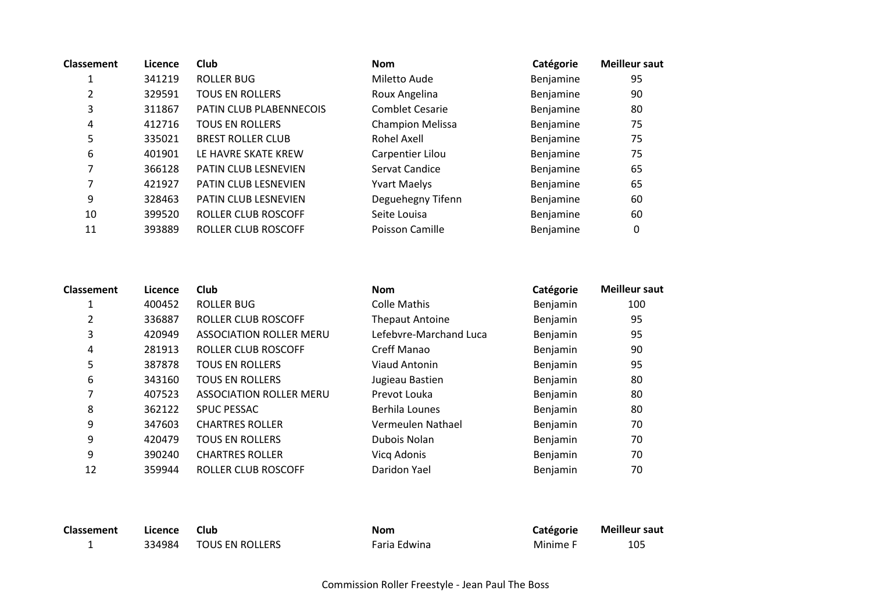| <b>Classement</b> | Licence | <b>Club</b>                 | <b>Nom</b>              | Catégorie | <b>Meilleur saut</b> |
|-------------------|---------|-----------------------------|-------------------------|-----------|----------------------|
|                   | 341219  | ROLLER BUG                  | Miletto Aude            | Benjamine | 95                   |
| $\overline{2}$    | 329591  | <b>TOUS EN ROLLERS</b>      | Roux Angelina           | Benjamine | 90                   |
| 3                 | 311867  | PATIN CLUB PLABENNECOIS     | <b>Comblet Cesarie</b>  | Benjamine | 80                   |
| 4                 | 412716  | <b>TOUS EN ROLLERS</b>      | <b>Champion Melissa</b> | Benjamine | 75                   |
| 5                 | 335021  | <b>BREST ROLLER CLUB</b>    | Rohel Axell             | Benjamine | 75                   |
| 6                 | 401901  | LE HAVRE SKATE KREW         | Carpentier Lilou        | Benjamine | 75                   |
|                   | 366128  | <b>PATIN CLUB LESNEVIEN</b> | Servat Candice          | Benjamine | 65                   |
|                   | 421927  | PATIN CLUB LESNEVIEN        | <b>Yvart Maelys</b>     | Benjamine | 65                   |
| 9                 | 328463  | <b>PATIN CLUB LESNEVIEN</b> | Deguehegny Tifenn       | Benjamine | 60                   |
| 10                | 399520  | ROLLER CLUB ROSCOFF         | Seite Louisa            | Benjamine | 60                   |
| 11                | 393889  | ROLLER CLUB ROSCOFF         | Poisson Camille         | Benjamine | 0                    |
|                   |         |                             |                         |           |                      |

| Classement | Licence | Club                           | <b>Nom</b>             | Catégorie | <b>Meilleur saut</b> |
|------------|---------|--------------------------------|------------------------|-----------|----------------------|
|            | 400452  | ROLLER BUG                     | Colle Mathis           | Benjamin  | 100                  |
| 2          | 336887  | ROLLER CLUB ROSCOFF            | <b>Thepaut Antoine</b> | Benjamin  | 95                   |
| 3          | 420949  | <b>ASSOCIATION ROLLER MERU</b> | Lefebvre-Marchand Luca | Benjamin  | 95                   |
| 4          | 281913  | ROLLER CLUB ROSCOFF            | Creff Manao            | Benjamin  | 90                   |
| 5          | 387878  | <b>TOUS EN ROLLERS</b>         | Viaud Antonin          | Benjamin  | 95                   |
| 6          | 343160  | <b>TOUS EN ROLLERS</b>         | Jugieau Bastien        | Benjamin  | 80                   |
|            | 407523  | <b>ASSOCIATION ROLLER MERU</b> | Prevot Louka           | Benjamin  | 80                   |
| 8          | 362122  | <b>SPUC PESSAC</b>             | Berhila Lounes         | Benjamin  | 80                   |
| 9          | 347603  | <b>CHARTRES ROLLER</b>         | Vermeulen Nathael      | Benjamin  | 70                   |
| 9          | 420479  | <b>TOUS EN ROLLERS</b>         | Dubois Nolan           | Benjamin  | 70                   |
| 9          | 390240  | <b>CHARTRES ROLLER</b>         | Vicq Adonis            | Benjamin  | 70                   |
| 12         | 359944  | ROLLER CLUB ROSCOFF            | Daridon Yael           | Benjamin  | 70                   |

| Classement | Licence | Club            | <b>Nom</b>   | Catégorie | <b>Meilleur saut</b> |
|------------|---------|-----------------|--------------|-----------|----------------------|
|            | 334984  | TOUS EN ROLLERS | Faria Edwina | Minime F  | 105                  |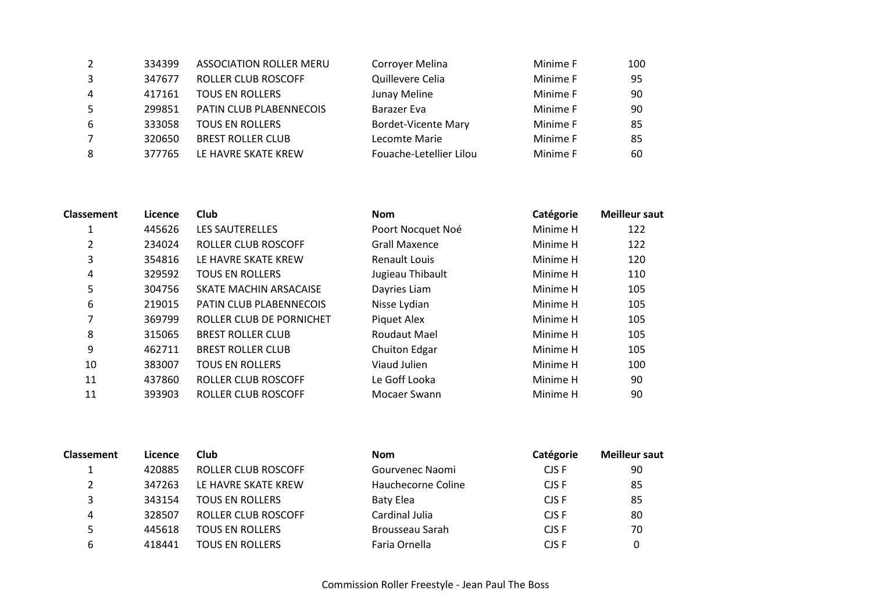| 2              | 334399 | <b>ASSOCIATION ROLLER MERU</b> | Corroyer Melina            | Minime F | 100 |
|----------------|--------|--------------------------------|----------------------------|----------|-----|
|                | 347677 | ROLLER CLUB ROSCOFF            | Quillevere Celia           | Minime F | 95  |
| $\overline{4}$ | 417161 | <b>TOUS EN ROLLERS</b>         | Junay Meline               | Minime F | 90  |
| 5              | 299851 | PATIN CLUB PLABENNECOIS        | <b>Barazer Eva</b>         | Minime F | 90  |
| 6              | 333058 | <b>TOUS EN ROLLERS</b>         | <b>Bordet-Vicente Mary</b> | Minime F | 85  |
|                | 320650 | <b>BREST ROLLER CLUB</b>       | Lecomte Marie              | Minime F | 85  |
| 8              | 377765 | LE HAVRE SKATE KREW            | Fouache-Letellier Lilou    | Minime F | 60  |
|                |        |                                |                            |          |     |

| <b>Classement</b> | Licence | Club                           | <b>Nom</b>           | Catégorie | <b>Meilleur saut</b> |
|-------------------|---------|--------------------------------|----------------------|-----------|----------------------|
|                   | 445626  | LES SAUTERELLES                | Poort Nocquet Noé    | Minime H  | 122                  |
| 2                 | 234024  | ROLLER CLUB ROSCOFF            | <b>Grall Maxence</b> | Minime H  | 122                  |
| 3                 | 354816  | LE HAVRE SKATE KREW            | Renault Louis        | Minime H  | 120                  |
| 4                 | 329592  | <b>TOUS EN ROLLERS</b>         | Jugieau Thibault     | Minime H  | 110                  |
| 5                 | 304756  | SKATE MACHIN ARSACAISE         | Dayries Liam         | Minime H  | 105                  |
| 6                 | 219015  | <b>PATIN CLUB PLABENNECOIS</b> | Nisse Lydian         | Minime H  | 105                  |
| 7                 | 369799  | ROLLER CLUB DE PORNICHET       | Piquet Alex          | Minime H  | 105                  |
| 8                 | 315065  | <b>BREST ROLLER CLUB</b>       | Roudaut Mael         | Minime H  | 105                  |
| 9                 | 462711  | <b>BREST ROLLER CLUB</b>       | Chuiton Edgar        | Minime H  | 105                  |
| 10                | 383007  | <b>TOUS EN ROLLERS</b>         | Viaud Julien         | Minime H  | 100                  |
| 11                | 437860  | <b>ROLLER CLUB ROSCOFF</b>     | Le Goff Looka        | Minime H  | 90                   |
| 11                | 393903  | ROLLER CLUB ROSCOFF            | Mocaer Swann         | Minime H  | 90                   |

| <b>Classement</b> | Licence | Club                   | <b>Nom</b>         | Catégorie | <b>Meilleur saut</b> |
|-------------------|---------|------------------------|--------------------|-----------|----------------------|
|                   | 420885  | ROLLER CLUB ROSCOFF    | Gourvenec Naomi    | CJS F     | 90                   |
|                   | 347263  | LE HAVRE SKATE KREW    | Hauchecorne Coline | CJS F     | 85                   |
| 3                 | 343154  | <b>TOUS EN ROLLERS</b> | Baty Elea          | CJS F     | 85                   |
| 4                 | 328507  | ROLLER CLUB ROSCOFF    | Cardinal Julia     | CJS F     | 80                   |
|                   | 445618  | <b>TOUS EN ROLLERS</b> | Brousseau Sarah    | CJS F     | 70                   |
| 6                 | 418441  | <b>TOUS EN ROLLERS</b> | Faria Ornella      | CJS F     | 0                    |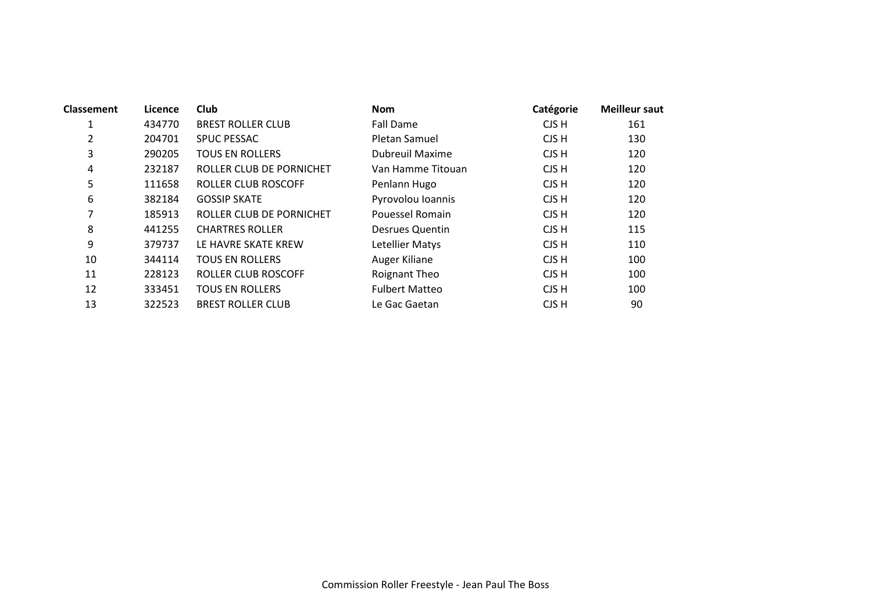| <b>Classement</b> | Licence | Club                       | <b>Nom</b>             | Catégorie | <b>Meilleur saut</b> |
|-------------------|---------|----------------------------|------------------------|-----------|----------------------|
| 1                 | 434770  | <b>BREST ROLLER CLUB</b>   | Fall Dame              | CJS H     | 161                  |
| 2                 | 204701  | SPUC PESSAC                | Pletan Samuel          | CJS H     | 130                  |
| 3                 | 290205  | <b>TOUS EN ROLLERS</b>     | <b>Dubreuil Maxime</b> | CJS H     | 120                  |
| 4                 | 232187  | ROLLER CLUB DE PORNICHET   | Van Hamme Titouan      | CJS H     | 120                  |
| 5                 | 111658  | <b>ROLLER CLUB ROSCOFF</b> | Penlann Hugo           | CJS H     | 120                  |
| 6                 | 382184  | <b>GOSSIP SKATE</b>        | Pyrovolou Ioannis      | CJS H     | 120                  |
| 7                 | 185913  | ROLLER CLUB DE PORNICHET   | Pouessel Romain        | CJS H     | 120                  |
| 8                 | 441255  | <b>CHARTRES ROLLER</b>     | Desrues Quentin        | CJS H     | 115                  |
| 9                 | 379737  | LE HAVRE SKATE KREW        | Letellier Matys        | CJS H     | 110                  |
| 10                | 344114  | <b>TOUS EN ROLLERS</b>     | Auger Kiliane          | CJS H     | 100                  |
| 11                | 228123  | <b>ROLLER CLUB ROSCOFF</b> | <b>Roignant Theo</b>   | CJS H     | 100                  |
| 12                | 333451  | <b>TOUS EN ROLLERS</b>     | <b>Fulbert Matteo</b>  | CJS H     | 100                  |
| 13                | 322523  | <b>BREST ROLLER CLUB</b>   | Le Gac Gaetan          | CJS H     | 90                   |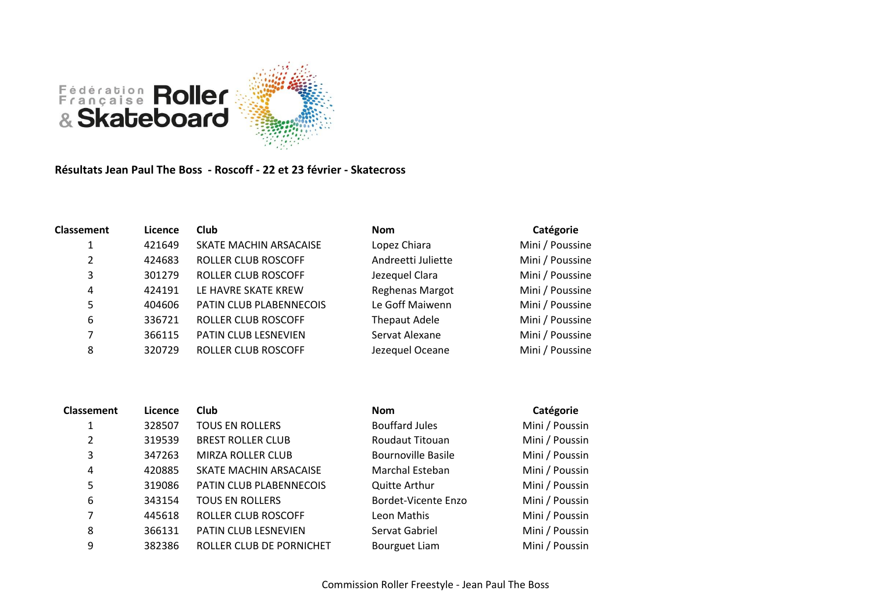

**Résultats Jean Paul The Boss - Roscoff - 22 et 23 février - Skatecross**

| <b>Classement</b> | Licence | <b>Club</b>             | <b>Nom</b>             | Catégorie       |
|-------------------|---------|-------------------------|------------------------|-----------------|
| 1                 | 421649  | SKATE MACHIN ARSACAISE  | Lopez Chiara           | Mini / Poussine |
| 2                 | 424683  | ROLLER CLUB ROSCOFF     | Andreetti Juliette     | Mini / Poussine |
| 3                 | 301279  | ROLLER CLUB ROSCOFF     | Jezequel Clara         | Mini / Poussine |
| 4                 | 424191  | LE HAVRE SKATE KREW     | <b>Reghenas Margot</b> | Mini / Poussine |
| 5                 | 404606  | PATIN CLUB PLABENNECOIS | Le Goff Maiwenn        | Mini / Poussine |
| 6                 | 336721  | ROLLER CLUB ROSCOFF     | <b>Thepaut Adele</b>   | Mini / Poussine |
| 7                 | 366115  | PATIN CLUB LESNEVIEN    | Servat Alexane         | Mini / Poussine |
| 8                 | 320729  | ROLLER CLUB ROSCOFF     | Jezequel Oceane        | Mini / Poussine |

| <b>Classement</b> | Licence | <b>Club</b>              | <b>Nom</b>                | Catégorie      |
|-------------------|---------|--------------------------|---------------------------|----------------|
|                   | 328507  | <b>TOUS EN ROLLERS</b>   | <b>Bouffard Jules</b>     | Mini / Poussin |
| $\overline{2}$    | 319539  | <b>BREST ROLLER CLUB</b> | Roudaut Titouan           | Mini / Poussin |
| 3                 | 347263  | MIRZA ROLLER CLUB        | <b>Bournoville Basile</b> | Mini / Poussin |
| 4                 | 420885  | SKATE MACHIN ARSACAISE   | Marchal Esteban           | Mini / Poussin |
| 5                 | 319086  | PATIN CLUB PLABENNECOIS  | <b>Quitte Arthur</b>      | Mini / Poussin |
| 6                 | 343154  | <b>TOUS EN ROLLERS</b>   | Bordet-Vicente Enzo       | Mini / Poussin |
| 7                 | 445618  | ROLLER CLUB ROSCOFF      | Leon Mathis               | Mini / Poussin |
| 8                 | 366131  | PATIN CLUB LESNEVIEN     | Servat Gabriel            | Mini / Poussin |
| 9                 | 382386  | ROLLER CLUB DE PORNICHET | Bourguet Liam             | Mini / Poussin |
|                   |         |                          |                           |                |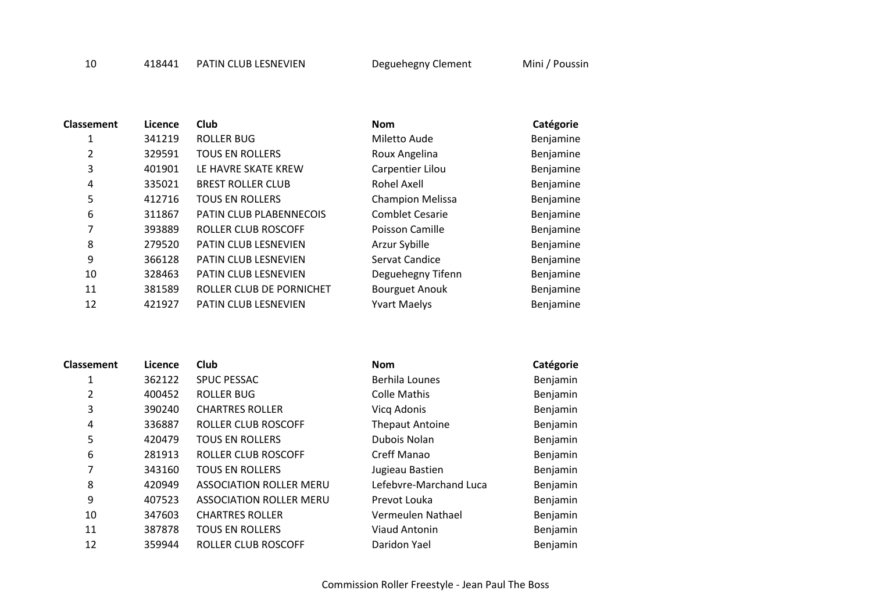418441 PATIN CLUB LESNEVIEN Deguehegny Clement Mini / Poussin

| Classement | Licence | <b>Club</b>                 | <b>Nom</b>              | Catégorie |
|------------|---------|-----------------------------|-------------------------|-----------|
| 1          | 341219  | <b>ROLLER BUG</b>           | Miletto Aude            | Benjamine |
| 2          | 329591  | <b>TOUS EN ROLLERS</b>      | Roux Angelina           | Benjamine |
| 3          | 401901  | LE HAVRE SKATE KREW         | Carpentier Lilou        | Benjamine |
| 4          | 335021  | <b>BREST ROLLER CLUB</b>    | Rohel Axell             | Benjamine |
| 5          | 412716  | <b>TOUS EN ROLLERS</b>      | <b>Champion Melissa</b> | Benjamine |
| 6          | 311867  | PATIN CLUB PLABENNECOIS     | <b>Comblet Cesarie</b>  | Benjamine |
| 7          | 393889  | <b>ROLLER CLUB ROSCOFF</b>  | Poisson Camille         | Benjamine |
| 8          | 279520  | PATIN CLUB LESNEVIEN        | Arzur Sybille           | Benjamine |
| 9          | 366128  | <b>PATIN CLUB LESNEVIEN</b> | Servat Candice          | Benjamine |
| 10         | 328463  | PATIN CLUB LESNEVIEN        | Deguehegny Tifenn       | Benjamine |
| 11         | 381589  | ROLLER CLUB DE PORNICHET    | <b>Bourguet Anouk</b>   | Benjamine |
| 12         | 421927  | PATIN CLUB LESNEVIEN        | <b>Yvart Maelys</b>     | Benjamine |

| <b>Classement</b> | Licence | Club                           | <b>Nom</b>             | Catégorie |
|-------------------|---------|--------------------------------|------------------------|-----------|
| 1                 | 362122  | <b>SPUC PESSAC</b>             | Berhila Lounes         | Benjamin  |
| 2                 | 400452  | ROLLER BUG                     | Colle Mathis           | Benjamin  |
| 3                 | 390240  | <b>CHARTRES ROLLER</b>         | Vicq Adonis            | Benjamin  |
| 4                 | 336887  | ROLLER CLUB ROSCOFF            | <b>Thepaut Antoine</b> | Benjamin  |
| 5                 | 420479  | <b>TOUS EN ROLLERS</b>         | Dubois Nolan           | Benjamin  |
| 6                 | 281913  | <b>ROLLER CLUB ROSCOFF</b>     | Creff Manao            | Benjamin  |
| 7                 | 343160  | <b>TOUS EN ROLLERS</b>         | Jugieau Bastien        | Benjamin  |
| 8                 | 420949  | <b>ASSOCIATION ROLLER MERU</b> | Lefebvre-Marchand Luca | Benjamin  |
| 9                 | 407523  | <b>ASSOCIATION ROLLER MERU</b> | Prevot Louka           | Benjamin  |
| 10                | 347603  | <b>CHARTRES ROLLER</b>         | Vermeulen Nathael      | Benjamin  |
| 11                | 387878  | <b>TOUS EN ROLLERS</b>         | Viaud Antonin          | Benjamin  |
| 12                | 359944  | ROLLER CLUB ROSCOFF            | Daridon Yael           | Benjamin  |
|                   |         |                                |                        |           |

| Catégori       |  |
|----------------|--|
| <b>Doniami</b> |  |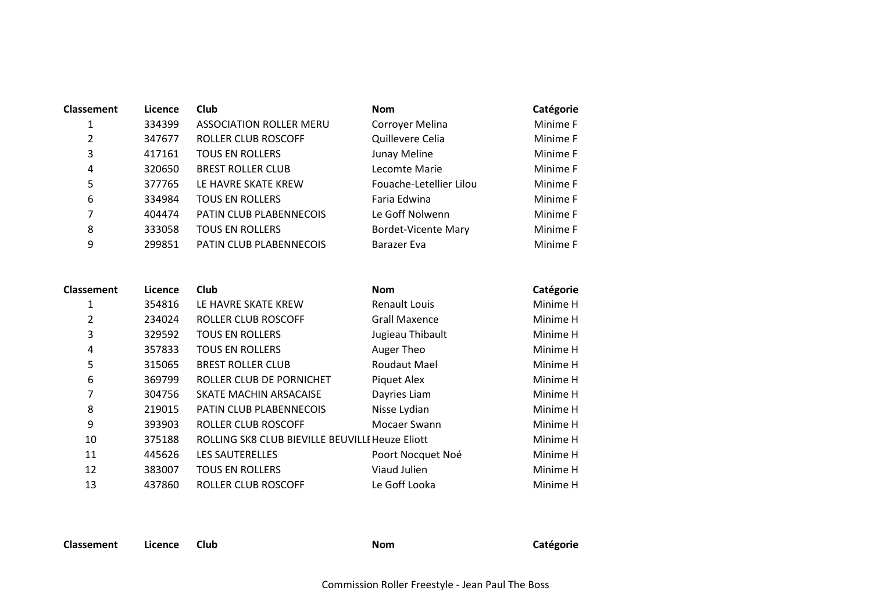| Classement | Licence | <b>Club</b>                    | <b>Nom</b>                 | Catégorie |
|------------|---------|--------------------------------|----------------------------|-----------|
| 1          | 334399  | <b>ASSOCIATION ROLLER MERU</b> | Corroyer Melina            | Minime F  |
| 2          | 347677  | ROLLER CLUB ROSCOFF            | Quillevere Celia           | Minime F  |
| 3          | 417161  | <b>TOUS EN ROLLERS</b>         | Junay Meline               | Minime F  |
| 4          | 320650  | <b>BREST ROLLER CLUB</b>       | Lecomte Marie              | Minime F  |
| 5          | 377765  | LE HAVRE SKATE KREW            | Fouache-Letellier Lilou    | Minime F  |
| 6          | 334984  | <b>TOUS EN ROLLERS</b>         | Faria Edwina               | Minime F  |
| 7          | 404474  | PATIN CLUB PLABENNECOIS        | Le Goff Nolwenn            | Minime F  |
| 8          | 333058  | <b>TOUS EN ROLLERS</b>         | <b>Bordet-Vicente Mary</b> | Minime F  |
| 9          | 299851  | PATIN CLUB PLABENNECOIS        | Barazer Eva                | Minime F  |

| <b>Classement</b> | Licence | <b>Club</b>                                     | <b>Nom</b>           | Catégorie |
|-------------------|---------|-------------------------------------------------|----------------------|-----------|
|                   | 354816  | LE HAVRE SKATE KREW                             | <b>Renault Louis</b> | Minime H  |
| 2                 | 234024  | ROLLER CLUB ROSCOFF                             | <b>Grall Maxence</b> | Minime H  |
| 3                 | 329592  | <b>TOUS EN ROLLERS</b>                          | Jugieau Thibault     | Minime H  |
| 4                 | 357833  | <b>TOUS EN ROLLERS</b>                          | Auger Theo           | Minime H  |
| 5                 | 315065  | <b>BREST ROLLER CLUB</b>                        | Roudaut Mael         | Minime H  |
| 6                 | 369799  | ROLLER CLUB DE PORNICHET                        | Piquet Alex          | Minime H  |
| 7                 | 304756  | SKATE MACHIN ARSACAISE                          | Dayries Liam         | Minime H  |
| 8                 | 219015  | PATIN CLUB PLABENNECOIS                         | Nisse Lydian         | Minime H  |
| 9                 | 393903  | ROLLER CLUB ROSCOFF                             | Mocaer Swann         | Minime H  |
| 10                | 375188  | ROLLING SK8 CLUB BIEVILLE BEUVILLE Heuze Eliott |                      | Minime H  |
| 11                | 445626  | <b>LES SAUTERELLES</b>                          | Poort Nocquet Noé    | Minime H  |
| 12                | 383007  | <b>TOUS EN ROLLERS</b>                          | Viaud Julien         | Minime H  |
| 13                | 437860  | ROLLER CLUB ROSCOFF                             | Le Goff Looka        | Minime H  |

**Classement Licence Club Nom Catégorie**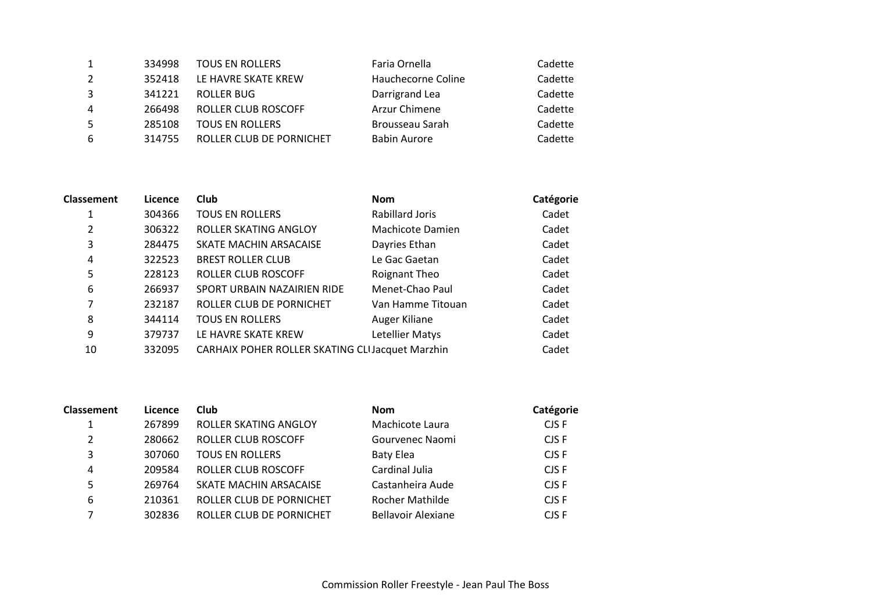| 1  | 334998 | <b>TOUS EN ROLLERS</b>   | Faria Ornella       | Cadette |
|----|--------|--------------------------|---------------------|---------|
| 2  | 352418 | LE HAVRE SKATE KREW      | Hauchecorne Coline  | Cadette |
| 3  | 341221 | ROLLER BUG               | Darrigrand Lea      | Cadette |
| 4  | 266498 | ROLLER CLUB ROSCOFF      | Arzur Chimene       | Cadette |
| -5 | 285108 | <b>TOUS EN ROLLERS</b>   | Brousseau Sarah     | Cadette |
| 6  | 314755 | ROLLER CLUB DE PORNICHET | <b>Babin Aurore</b> | Cadette |

| <b>Classement</b> | Licence | <b>Club</b>                                     | <b>Nom</b>        | Catégorie |
|-------------------|---------|-------------------------------------------------|-------------------|-----------|
| 1                 | 304366  | <b>TOUS EN ROLLERS</b>                          | Rabillard Joris   | Cadet     |
| 2                 | 306322  | ROLLER SKATING ANGLOY                           | Machicote Damien  | Cadet     |
| 3                 | 284475  | SKATE MACHIN ARSACAISE                          | Dayries Ethan     | Cadet     |
| 4                 | 322523  | <b>BREST ROLLER CLUB</b>                        | Le Gac Gaetan     | Cadet     |
| 5                 | 228123  | ROLLER CLUB ROSCOFF                             | Roignant Theo     | Cadet     |
| 6                 | 266937  | SPORT URBAIN NAZAIRIEN RIDE                     | Menet-Chao Paul   | Cadet     |
| 7                 | 232187  | ROLLER CLUB DE PORNICHET                        | Van Hamme Titouan | Cadet     |
| 8                 | 344114  | <b>TOUS EN ROLLERS</b>                          | Auger Kiliane     | Cadet     |
| 9                 | 379737  | LE HAVRE SKATE KREW                             | Letellier Matys   | Cadet     |
| 10                | 332095  | CARHAIX POHER ROLLER SKATING CLIJacquet Marzhin |                   | Cadet     |

| <b>Classement</b> | Licence | Club                       | <b>Nom</b>                | Catégorie |
|-------------------|---------|----------------------------|---------------------------|-----------|
|                   | 267899  | ROLLER SKATING ANGLOY      | Machicote Laura           | CJS F     |
| 2                 | 280662  | ROLLER CLUB ROSCOFF        | Gourvenec Naomi           | CJS F     |
| 3                 | 307060  | <b>TOUS EN ROLLERS</b>     | <b>Baty Elea</b>          | CJS F     |
| 4                 | 209584  | <b>ROLLER CLUB ROSCOFF</b> | Cardinal Julia            | CJS F     |
| 5                 | 269764  | SKATE MACHIN ARSACAISE     | Castanheira Aude          | CJS F     |
| 6                 | 210361  | ROLLER CLUB DE PORNICHET   | Rocher Mathilde           | CJS F     |
|                   | 302836  | ROLLER CLUB DE PORNICHET   | <b>Bellavoir Alexiane</b> | CJS F     |